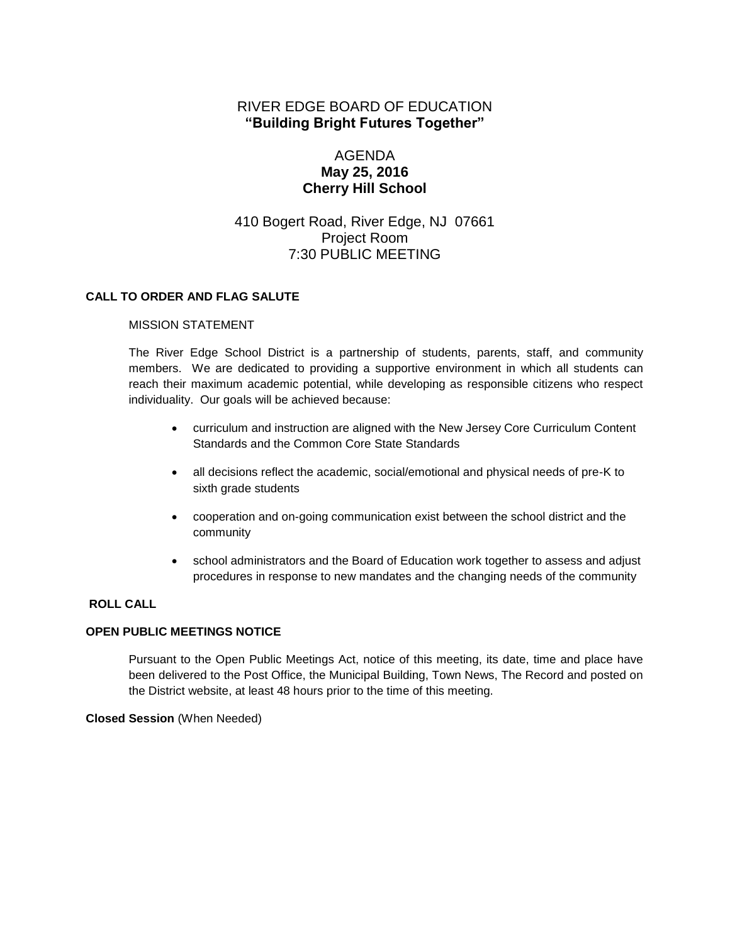# RIVER EDGE BOARD OF EDUCATION **"Building Bright Futures Together"**

# AGENDA **May 25, 2016 Cherry Hill School**

# 410 Bogert Road, River Edge, NJ 07661 Project Room 7:30 PUBLIC MEETING

## **CALL TO ORDER AND FLAG SALUTE**

### MISSION STATEMENT

The River Edge School District is a partnership of students, parents, staff, and community members. We are dedicated to providing a supportive environment in which all students can reach their maximum academic potential, while developing as responsible citizens who respect individuality. Our goals will be achieved because:

- curriculum and instruction are aligned with the New Jersey Core Curriculum Content Standards and the Common Core State Standards
- all decisions reflect the academic, social/emotional and physical needs of pre-K to sixth grade students
- cooperation and on-going communication exist between the school district and the community
- school administrators and the Board of Education work together to assess and adjust procedures in response to new mandates and the changing needs of the community

## **ROLL CALL**

## **OPEN PUBLIC MEETINGS NOTICE**

Pursuant to the Open Public Meetings Act, notice of this meeting, its date, time and place have been delivered to the Post Office, the Municipal Building, Town News, The Record and posted on the District website, at least 48 hours prior to the time of this meeting.

### **Closed Session** (When Needed)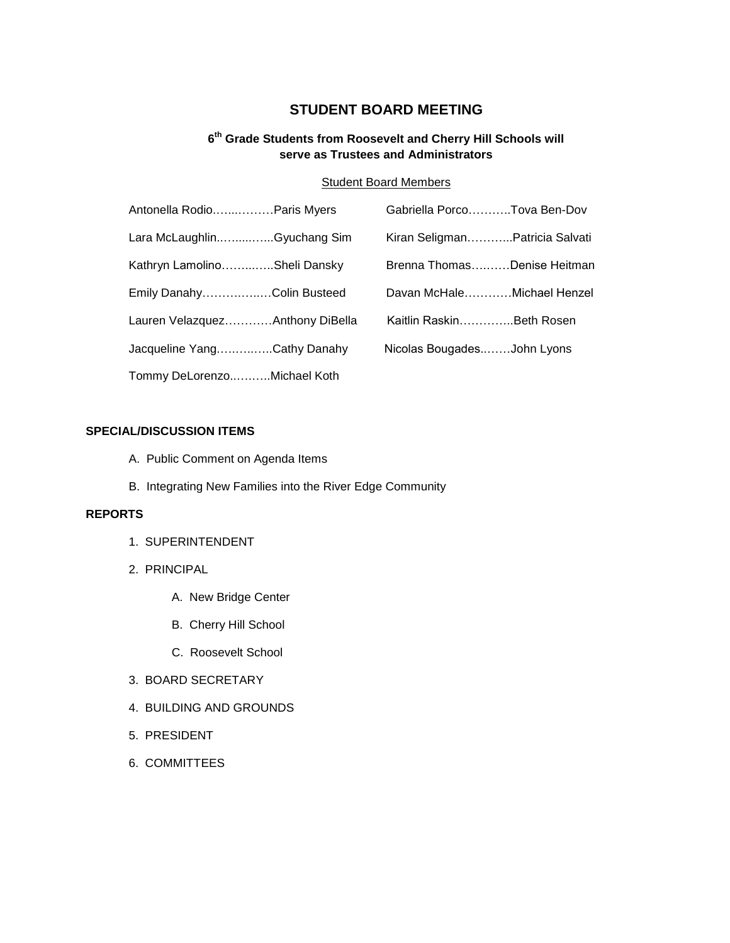# **STUDENT BOARD MEETING**

## **6 th Grade Students from Roosevelt and Cherry Hill Schools will serve as Trustees and Administrators**

## Student Board Members

| Antonella RodioParis Myers      | Gabriella PorcoTova Ben-Dov    |  |
|---------------------------------|--------------------------------|--|
| Lara McLaughlinGyuchang Sim     | Kiran SeligmanPatricia Salvati |  |
| Kathryn LamolinoSheli Dansky    | Brenna ThomasDenise Heitman    |  |
| Emily DanahyColin Busteed       | Davan McHaleMichael Henzel     |  |
| Lauren VelazquezAnthony DiBella | Kaitlin RaskinBeth Rosen       |  |
| Jacqueline YangCathy Danahy     | Nicolas BougadesJohn Lyons     |  |
| Tommy DeLorenzoMichael Koth     |                                |  |

### **SPECIAL/DISCUSSION ITEMS**

- A. Public Comment on Agenda Items
- B. Integrating New Families into the River Edge Community

# **REPORTS**

- 1. SUPERINTENDENT
- 2. PRINCIPAL
	- A. New Bridge Center
	- B. Cherry Hill School
	- C. Roosevelt School
- 3. BOARD SECRETARY
- 4. BUILDING AND GROUNDS
- 5. PRESIDENT
- 6. COMMITTEES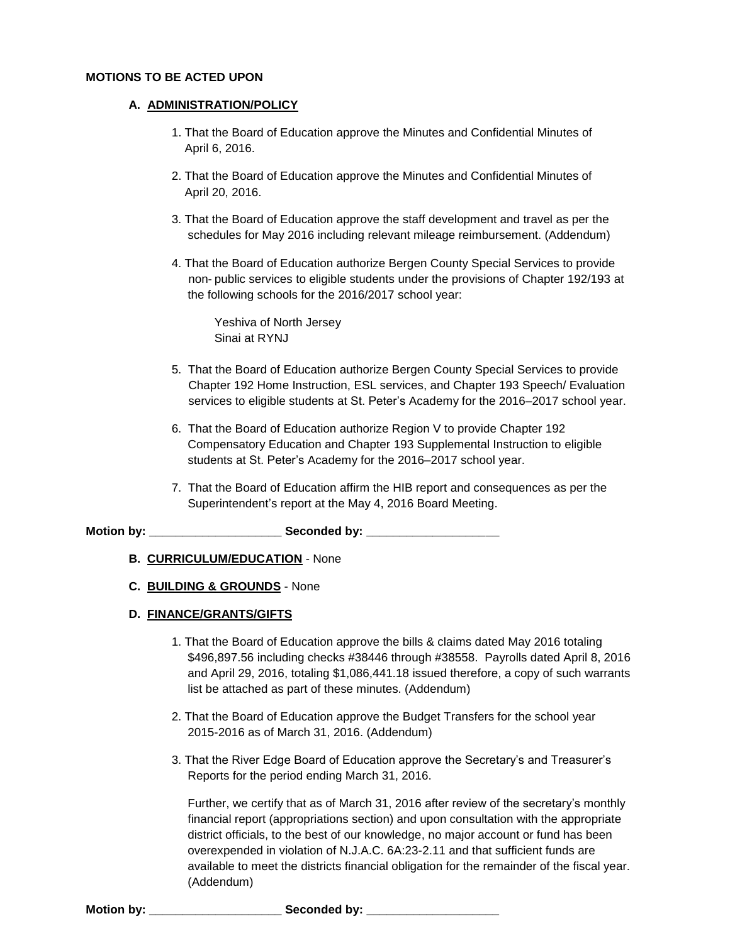#### **MOTIONS TO BE ACTED UPON**

#### **A. ADMINISTRATION/POLICY**

- 1. That the Board of Education approve the Minutes and Confidential Minutes of April 6, 2016.
- 2. That the Board of Education approve the Minutes and Confidential Minutes of April 20, 2016.
- 3. That the Board of Education approve the staff development and travel as per the schedules for May 2016 including relevant mileage reimbursement. (Addendum)
- 4. That the Board of Education authorize Bergen County Special Services to provide non- public services to eligible students under the provisions of Chapter 192/193 at the following schools for the 2016/2017 school year:

Yeshiva of North Jersey Sinai at RYNJ

- 5. That the Board of Education authorize Bergen County Special Services to provide Chapter 192 Home Instruction, ESL services, and Chapter 193 Speech/ Evaluation services to eligible students at St. Peter's Academy for the 2016–2017 school year.
- 6. That the Board of Education authorize Region V to provide Chapter 192 Compensatory Education and Chapter 193 Supplemental Instruction to eligible students at St. Peter's Academy for the 2016–2017 school year.
- 7. That the Board of Education affirm the HIB report and consequences as per the Superintendent's report at the May 4, 2016 Board Meeting.

**Motion by: \_\_\_\_\_\_\_\_\_\_\_\_\_\_\_\_\_\_\_\_ Seconded by: \_\_\_\_\_\_\_\_\_\_\_\_\_\_\_\_\_\_\_\_**

- **B. CURRICULUM/EDUCATION** None
- **C. BUILDING & GROUNDS** None

#### **D. FINANCE/GRANTS/GIFTS**

- 1. That the Board of Education approve the bills & claims dated May 2016 totaling \$496,897.56 including checks #38446 through #38558. Payrolls dated April 8, 2016 and April 29, 2016, totaling \$1,086,441.18 issued therefore, a copy of such warrants list be attached as part of these minutes. (Addendum)
- 2. That the Board of Education approve the Budget Transfers for the school year 2015-2016 as of March 31, 2016. (Addendum)
- 3. That the River Edge Board of Education approve the Secretary's and Treasurer's Reports for the period ending March 31, 2016.

Further, we certify that as of March 31, 2016 after review of the secretary's monthly financial report (appropriations section) and upon consultation with the appropriate district officials, to the best of our knowledge, no major account or fund has been overexpended in violation of N.J.A.C. 6A:23-2.11 and that sufficient funds are available to meet the districts financial obligation for the remainder of the fiscal year. (Addendum)

**Motion by: \_\_\_\_\_\_\_\_\_\_\_\_\_\_\_\_\_\_\_\_ Seconded by: \_\_\_\_\_\_\_\_\_\_\_\_\_\_\_\_\_\_\_\_**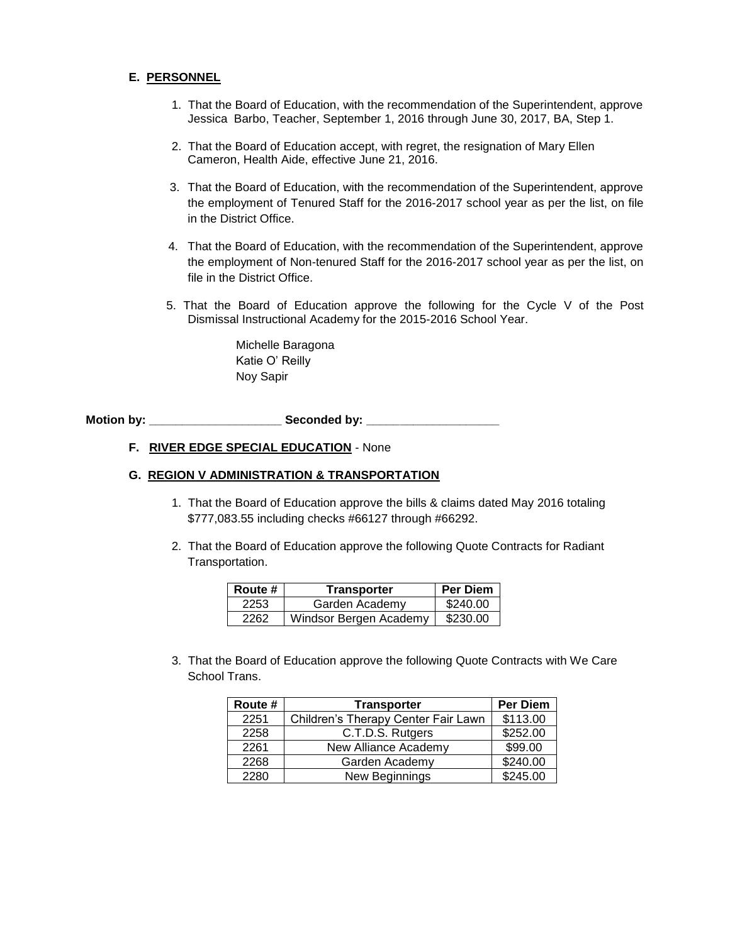### **E. PERSONNEL**

- 1. That the Board of Education, with the recommendation of the Superintendent, approve Jessica Barbo, Teacher, September 1, 2016 through June 30, 2017, BA, Step 1.
- 2. That the Board of Education accept, with regret, the resignation of Mary Ellen Cameron, Health Aide, effective June 21, 2016.
- 3. That the Board of Education, with the recommendation of the Superintendent, approve the employment of Tenured Staff for the 2016-2017 school year as per the list, on file in the District Office.
- 4. That the Board of Education, with the recommendation of the Superintendent, approve the employment of Non-tenured Staff for the 2016-2017 school year as per the list, on file in the District Office.
- 5. That the Board of Education approve the following for the Cycle V of the Post Dismissal Instructional Academy for the 2015-2016 School Year.

Michelle Baragona Katie O' Reilly Noy Sapir

**Motion by: \_\_\_\_\_\_\_\_\_\_\_\_\_\_\_\_\_\_\_\_ Seconded by: \_\_\_\_\_\_\_\_\_\_\_\_\_\_\_\_\_\_\_\_**

## **F. RIVER EDGE SPECIAL EDUCATION** - None

### **G. REGION V ADMINISTRATION & TRANSPORTATION**

- 1. That the Board of Education approve the bills & claims dated May 2016 totaling \$777,083.55 including checks #66127 through #66292.
- 2. That the Board of Education approve the following Quote Contracts for Radiant Transportation.

| Route # | <b>Transporter</b>     | <b>Per Diem</b> |
|---------|------------------------|-----------------|
| 2253    | Garden Academy         | \$240.00        |
| 2262    | Windsor Bergen Academy | \$230.00        |

3. That the Board of Education approve the following Quote Contracts with We Care School Trans.

| Route # | <b>Transporter</b>                  | <b>Per Diem</b> |
|---------|-------------------------------------|-----------------|
| 2251    | Children's Therapy Center Fair Lawn | \$113.00        |
| 2258    | C.T.D.S. Rutgers                    | \$252.00        |
| 2261    | New Alliance Academy                | \$99.00         |
| 2268    | Garden Academy                      | \$240.00        |
| 2280    | New Beginnings                      | \$245.00        |